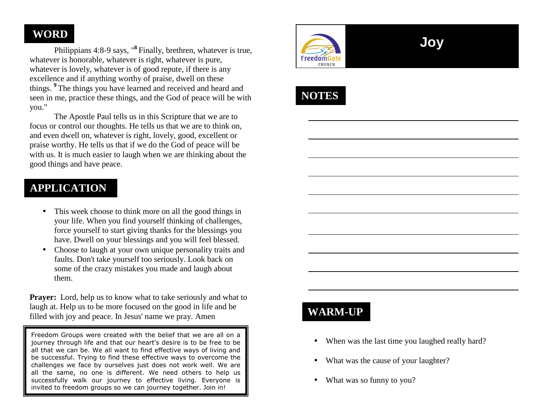### **WORD**

 Philippians 4:8-9 says, "**<sup>8</sup>** Finally, brethren, whatever is true, whatever is honorable, whatever is right, whatever is pure, whatever is lovely, whatever is of good repute, if there is any excellence and if anything worthy of praise, dwell on these things. **<sup>9</sup>**The things you have learned and received and heard and seen in me, practice these things, and the God of peace will be with you."

 The Apostle Paul tells us in this Scripture that we are to focus or control our thoughts. He tells us that we are to think on, and even dwell on, whatever is right, lovely, good, excellent or praise worthy. He tells us that if we do the God of peace will be with us. It is much easier to laugh when we are thinking about the good things and have peace.

# **APPLICATION**

- This week choose to think more on all the good things in your life. When you find yourself thinking of challenges, force yourself to start giving thanks for the blessings you have. Dwell on your blessings and you will feel blessed.
- Choose to laugh at your own unique personality traits and faults. Don't take yourself too seriously. Look back on some of the crazy mistakes you made and laugh aboutthem.

**Prayer:** Lord, help us to know what to take seriously and what to laugh at. Help us to be more focused on the good in life and be filled with joy and peace. In Jesus' name we pray. Amen

Freedom Groups were created with the belief that we are all on a journey through life and that our heart's desire is to be free to be all that we can be. We all want to find effective ways of living and be successful. Trying to find these effective ways to overcome the challenges we face by ourselves just does not work well. We are all the same, no one is different. We need others to help us successfully walk our journey to effective living. Everyone is invited to freedom groups so we can journey together. Join in!



# **Joy**



# **WARM-UP**

- When was the last time you laughed really hard?
- What was the cause of your laughter?
- $\bullet$ What was so funny to you?